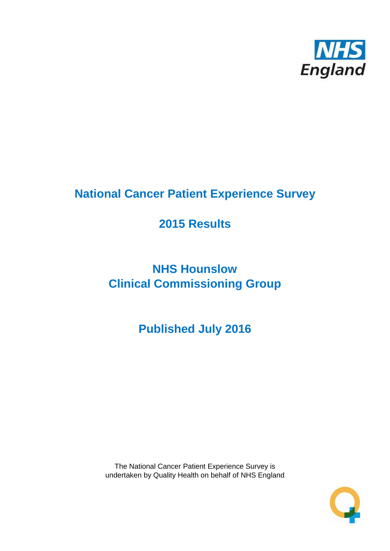

# **National Cancer Patient Experience Survey**

# **2015 Results**

# **NHS Hounslow Clinical Commissioning Group**

**Published July 2016**

The National Cancer Patient Experience Survey is undertaken by Quality Health on behalf of NHS England

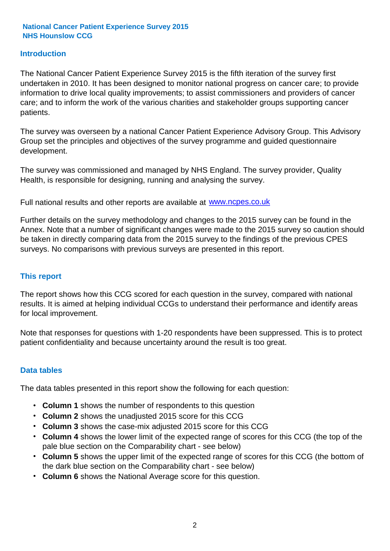#### **Introduction**

The National Cancer Patient Experience Survey 2015 is the fifth iteration of the survey first undertaken in 2010. It has been designed to monitor national progress on cancer care; to provide information to drive local quality improvements; to assist commissioners and providers of cancer care; and to inform the work of the various charities and stakeholder groups supporting cancer patients.

The survey was overseen by a national Cancer Patient Experience Advisory Group. This Advisory Group set the principles and objectives of the survey programme and guided questionnaire development.

The survey was commissioned and managed by NHS England. The survey provider, Quality Health, is responsible for designing, running and analysing the survey.

Full national results and other reports are available at www.ncpes.co.uk

Further details on the survey methodology and changes to the 2015 survey can be found in the Annex. Note that a number of significant changes were made to the 2015 survey so caution should be taken in directly comparing data from the 2015 survey to the findings of the previous CPES surveys. No comparisons with previous surveys are presented in this report.

#### **This report**

The report shows how this CCG scored for each question in the survey, compared with national results. It is aimed at helping individual CCGs to understand their performance and identify areas for local improvement.

Note that responses for questions with 1-20 respondents have been suppressed. This is to protect patient confidentiality and because uncertainty around the result is too great.

#### **Data tables**

The data tables presented in this report show the following for each question:

- **Column 1** shows the number of respondents to this question
- **Column 2** shows the unadjusted 2015 score for this CCG
- **Column 3** shows the case-mix adjusted 2015 score for this CCG
- **Column 4** shows the lower limit of the expected range of scores for this CCG (the top of the pale blue section on the Comparability chart - see below)
- **Column 5** shows the upper limit of the expected range of scores for this CCG (the bottom of the dark blue section on the Comparability chart - see below)
- **Column 6** shows the National Average score for this question.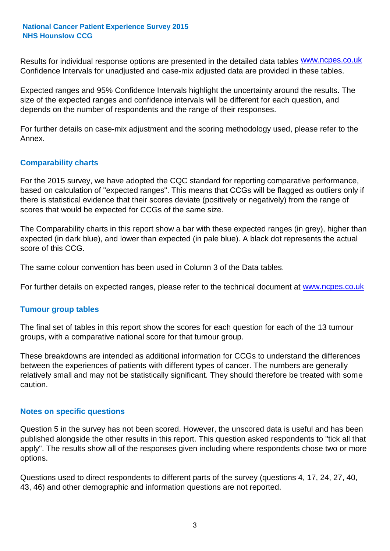Results for individual response options are presented in the detailed data tables **WWW.ncpes.co.uk** Confidence Intervals for unadjusted and case-mix adjusted data are provided in these tables.

Expected ranges and 95% Confidence Intervals highlight the uncertainty around the results. The size of the expected ranges and confidence intervals will be different for each question, and depends on the number of respondents and the range of their responses.

For further details on case-mix adjustment and the scoring methodology used, please refer to the Annex.

#### **Comparability charts**

For the 2015 survey, we have adopted the CQC standard for reporting comparative performance, based on calculation of "expected ranges". This means that CCGs will be flagged as outliers only if there is statistical evidence that their scores deviate (positively or negatively) from the range of scores that would be expected for CCGs of the same size.

The Comparability charts in this report show a bar with these expected ranges (in grey), higher than expected (in dark blue), and lower than expected (in pale blue). A black dot represents the actual score of this CCG.

The same colour convention has been used in Column 3 of the Data tables.

For further details on expected ranges, please refer to the technical document at **www.ncpes.co.uk** 

#### **Tumour group tables**

The final set of tables in this report show the scores for each question for each of the 13 tumour groups, with a comparative national score for that tumour group.

These breakdowns are intended as additional information for CCGs to understand the differences between the experiences of patients with different types of cancer. The numbers are generally relatively small and may not be statistically significant. They should therefore be treated with some caution.

#### **Notes on specific questions**

Question 5 in the survey has not been scored. However, the unscored data is useful and has been published alongside the other results in this report. This question asked respondents to "tick all that apply". The results show all of the responses given including where respondents chose two or more options.

Questions used to direct respondents to different parts of the survey (questions 4, 17, 24, 27, 40, 43, 46) and other demographic and information questions are not reported.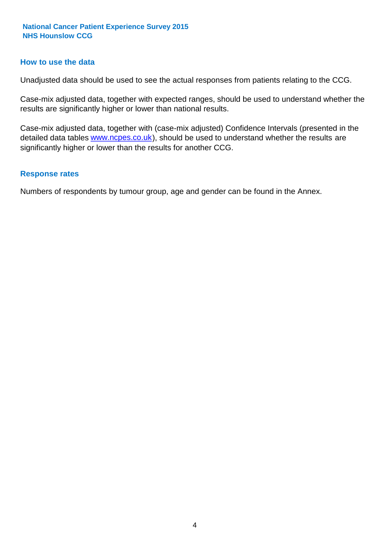#### **How to use the data**

Unadjusted data should be used to see the actual responses from patients relating to the CCG.

Case-mix adjusted data, together with expected ranges, should be used to understand whether the results are significantly higher or lower than national results.

Case-mix adjusted data, together with (case-mix adjusted) Confidence Intervals (presented in the detailed data tables **www.ncpes.co.uk**), should be used to understand whether the results are significantly higher or lower than the results for another CCG.

#### **Response rates**

Numbers of respondents by tumour group, age and gender can be found in the Annex.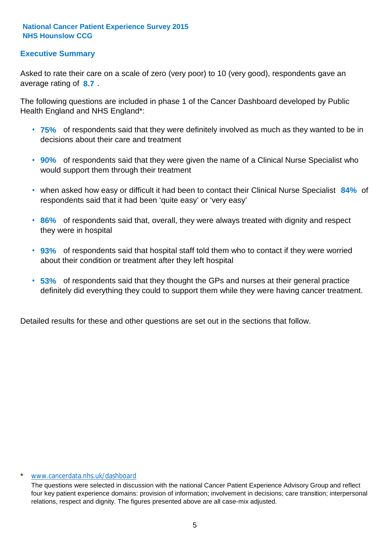### **Executive Summary**

average rating of 8.7. Asked to rate their care on a scale of zero (very poor) to 10 (very good), respondents gave an

The following questions are included in phase 1 of the Cancer Dashboard developed by Public Health England and NHS England\*:

- **75%** of respondents said that they were definitely involved as much as they wanted to be in decisions about their care and treatment
- **90%** of respondents said that they were given the name of a Clinical Nurse Specialist who would support them through their treatment
- when asked how easy or difficult it had been to contact their Clinical Nurse Specialist 84% of respondents said that it had been 'quite easy' or 'very easy'
- **86%** of respondents said that, overall, they were always treated with dignity and respect they were in hospital
- **93%** of respondents said that hospital staff told them who to contact if they were worried about their condition or treatment after they left hospital
- **53%** of respondents said that they thought the GPs and nurses at their general practice definitely did everything they could to support them while they were having cancer treatment.

Detailed results for these and other questions are set out in the sections that follow.

#### \* www.cancerdata.nhs.uk/dashboard

The questions were selected in discussion with the national Cancer Patient Experience Advisory Group and reflect four key patient experience domains: provision of information; involvement in decisions; care transition; interpersonal relations, respect and dignity. The figures presented above are all case-mix adjusted.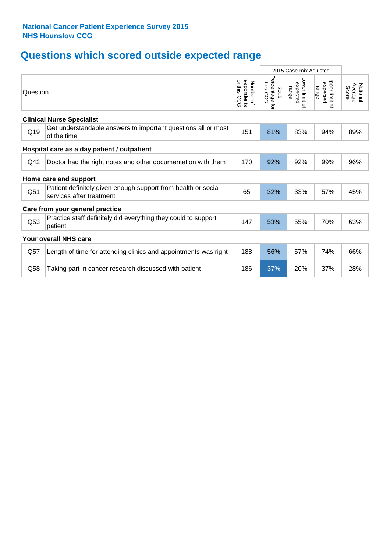# **Questions which scored outside expected range**

|                                             |                                                                                           |                                              |                                       | 2015 Case-mix Adjusted              |                                     |                              |  |
|---------------------------------------------|-------------------------------------------------------------------------------------------|----------------------------------------------|---------------------------------------|-------------------------------------|-------------------------------------|------------------------------|--|
| Question                                    |                                                                                           | for this<br>respondents<br>Number of<br>င္ပင | Percentage for<br>this<br>2015<br>ccg | Lower limit of<br>expected<br>range | Upper limit of<br>expected<br>range | Average<br>National<br>Score |  |
|                                             | <b>Clinical Nurse Specialist</b>                                                          |                                              |                                       |                                     |                                     |                              |  |
| Q19                                         | Get understandable answers to important questions all or most<br>of the time              | 151                                          | 81%                                   | 83%                                 | 94%                                 | 89%                          |  |
| Hospital care as a day patient / outpatient |                                                                                           |                                              |                                       |                                     |                                     |                              |  |
| Q42                                         | Doctor had the right notes and other documentation with them                              | 170                                          | 92%                                   | 92%                                 | 99%                                 | 96%                          |  |
|                                             | Home care and support                                                                     |                                              |                                       |                                     |                                     |                              |  |
| Q51                                         | Patient definitely given enough support from health or social<br>services after treatment | 65                                           | 32%                                   | 33%                                 | 57%                                 | 45%                          |  |
|                                             | Care from your general practice                                                           |                                              |                                       |                                     |                                     |                              |  |
| Q53                                         | Practice staff definitely did everything they could to support<br>patient                 | 147                                          | 53%                                   | 55%                                 | 70%                                 | 63%                          |  |
|                                             | Your overall NHS care                                                                     |                                              |                                       |                                     |                                     |                              |  |
| Q57                                         | Length of time for attending clinics and appointments was right                           | 188                                          | 56%                                   | 57%                                 | 74%                                 | 66%                          |  |
| Q58                                         | Taking part in cancer research discussed with patient                                     | 186                                          | 37%                                   | 20%                                 | 37%                                 | 28%                          |  |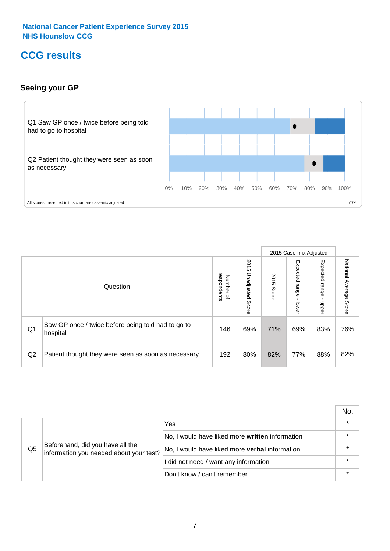# **CCG results**

### **Seeing your GP**



|    |                                                                |                                         |                             |               | 2015 Case-mix Adjusted     |                            |                           |
|----|----------------------------------------------------------------|-----------------------------------------|-----------------------------|---------------|----------------------------|----------------------------|---------------------------|
|    | Question                                                       | respondents<br>Number<br>$\overline{a}$ | 2015<br>Unadjusted<br>Score | 2015<br>Score | Expected<br>range<br>lower | Expected<br>range<br>nbber | National Average<br>Score |
| Q1 | Saw GP once / twice before being told had to go to<br>hospital | 146                                     | 69%                         | 71%           | 69%                        | 83%                        | 76%                       |
| Q2 | Patient thought they were seen as soon as necessary            | 192                                     | 80%                         | 82%           | 77%                        | 88%                        | 82%                       |

|    |                                                                             |                                                 | No. |
|----|-----------------------------------------------------------------------------|-------------------------------------------------|-----|
| Q5 | Beforehand, did you have all the<br>information you needed about your test? | Yes                                             |     |
|    |                                                                             | No, I would have liked more written information |     |
|    |                                                                             | No, I would have liked more verbal information  |     |
|    |                                                                             | I did not need / want any information           |     |
|    |                                                                             | Don't know / can't remember                     |     |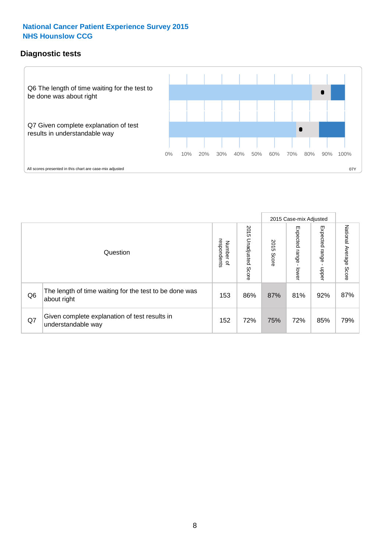### **Diagnostic tests**



|                |                                                                       |                                   |                             |               | 2015 Case-mix Adjusted  |                         |                           |
|----------------|-----------------------------------------------------------------------|-----------------------------------|-----------------------------|---------------|-------------------------|-------------------------|---------------------------|
|                | Question                                                              | respondents<br>Number<br>$\Omega$ | 2015<br>Unadjusted<br>Score | 2015<br>Score | Expected range<br>lower | Expected range<br>nbber | National Average<br>Score |
| Q <sub>6</sub> | The length of time waiting for the test to be done was<br>about right | 153                               | 86%                         | 87%           | 81%                     | 92%                     | 87%                       |
| Q7             | Given complete explanation of test results in<br>understandable way   | 152                               | 72%                         | 75%           | 72%                     | 85%                     | 79%                       |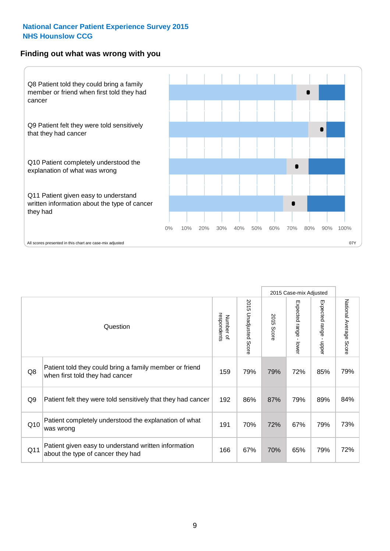#### **Finding out what was wrong with you**



|     |                                                                                            |                          |                       |               | 2015 Case-mix Adjusted |                           |                           |
|-----|--------------------------------------------------------------------------------------------|--------------------------|-----------------------|---------------|------------------------|---------------------------|---------------------------|
|     | Question                                                                                   | Number of<br>respondents | 2015 Unadjusted Score | 2015<br>Score | Expected range - lower | Expected range -<br>nbber | National Average<br>Score |
| Q8  | Patient told they could bring a family member or friend<br>when first told they had cancer | 159                      | 79%                   | 79%           | 72%                    | 85%                       | 79%                       |
| Q9  | Patient felt they were told sensitively that they had cancer                               | 192                      | 86%                   | 87%           | 79%                    | 89%                       | 84%                       |
| Q10 | Patient completely understood the explanation of what<br>was wrong                         | 191                      | 70%                   | 72%           | 67%                    | 79%                       | 73%                       |
| Q11 | Patient given easy to understand written information<br>about the type of cancer they had  | 166                      | 67%                   | 70%           | 65%                    | 79%                       | 72%                       |
|     |                                                                                            |                          |                       |               |                        |                           |                           |

73%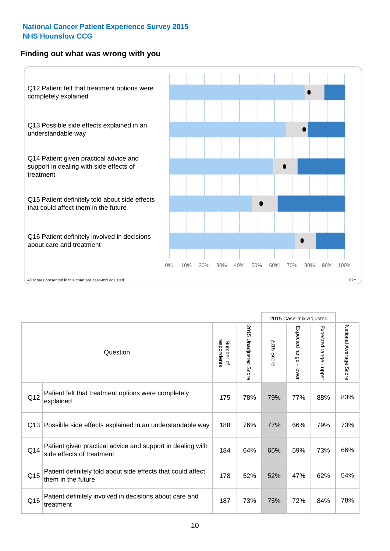### **Finding out what was wrong with you**



|          |                                                                                         |                          |                                 |               | 2015 Case-mix Adjusted                  |                        |                        |
|----------|-----------------------------------------------------------------------------------------|--------------------------|---------------------------------|---------------|-----------------------------------------|------------------------|------------------------|
| Question |                                                                                         | Number of<br>respondents | 2015<br><b>Unadjusted Score</b> | 2015<br>Score | Expected range<br>$\mathbf{r}$<br>lower | Expected range - upper | National Average Score |
| Q12      | Patient felt that treatment options were completely<br>explained                        | 175                      | 78%                             | 79%           | 77%                                     | 88%                    | 83%                    |
| Q13      | Possible side effects explained in an understandable way                                | 188                      | 76%                             | 77%           | 66%                                     | 79%                    | 73%                    |
| Q14      | Patient given practical advice and support in dealing with<br>side effects of treatment | 184                      | 64%                             | 65%           | 59%                                     | 73%                    | 66%                    |
| Q15      | Patient definitely told about side effects that could affect<br>them in the future      | 178                      | 52%                             | 52%           | 47%                                     | 62%                    | 54%                    |
| Q16      | Patient definitely involved in decisions about care and<br>treatment                    | 187                      | 73%                             | 75%           | 72%                                     | 84%                    | 78%                    |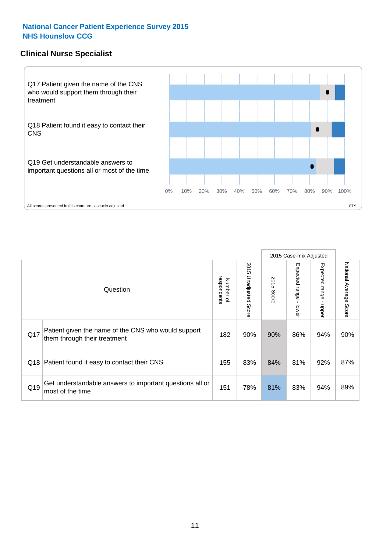#### **Clinical Nurse Specialist**



|     |                                                                                     |                          |                       |               | 2015 Case-mix Adjusted  |                         |                        |
|-----|-------------------------------------------------------------------------------------|--------------------------|-----------------------|---------------|-------------------------|-------------------------|------------------------|
|     | Question                                                                            | Number of<br>respondents | 2015 Unadjusted Score | 2015<br>Score | Expected range<br>lower | Expected range<br>nbber | National Average Score |
| Q17 | Patient given the name of the CNS who would support<br>them through their treatment | 182                      | 90%                   | 90%           | 86%                     | 94%                     | 90%                    |
| Q18 | Patient found it easy to contact their CNS                                          | 155                      | 83%                   | 84%           | 81%                     | 92%                     | 87%                    |
| Q19 | Get understandable answers to important questions all or<br>most of the time        | 151                      | 78%                   | 81%           | 83%                     | 94%                     | 89%                    |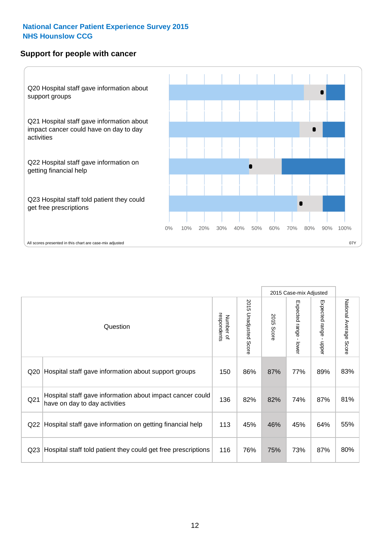#### **Support for people with cancer**



|                 |                                                                                            |                          |                             |               | 2015 Case-mix Adjusted                    |                                           |                        |
|-----------------|--------------------------------------------------------------------------------------------|--------------------------|-----------------------------|---------------|-------------------------------------------|-------------------------------------------|------------------------|
|                 | Question                                                                                   | respondents<br>Number of | 2015<br>Unadjusted<br>Score | 2015<br>Score | Expected range<br>$\blacksquare$<br>lower | Expected range<br>$\blacksquare$<br>nbber | National Average Score |
| Q20             | Hospital staff gave information about support groups                                       | 150                      | 86%                         | 87%           | 77%                                       | 89%                                       | 83%                    |
| Q <sub>21</sub> | Hospital staff gave information about impact cancer could<br>have on day to day activities | 136                      | 82%                         | 82%           | 74%                                       | 87%                                       | 81%                    |
| Q <sub>22</sub> | Hospital staff gave information on getting financial help                                  | 113                      | 45%                         | 46%           | 45%                                       | 64%                                       | 55%                    |
| Q <sub>23</sub> | Hospital staff told patient they could get free prescriptions                              | 116                      | 76%                         | 75%           | 73%                                       | 87%                                       | 80%                    |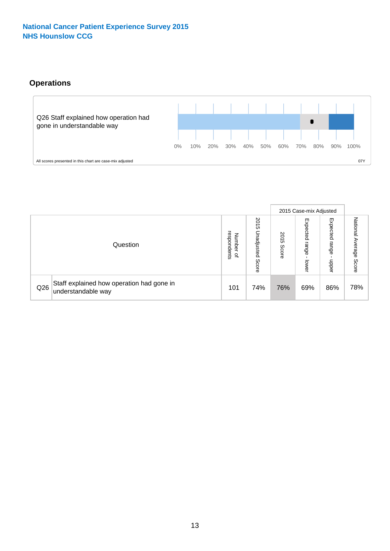# **Operations**



|     |                                                                 |                                              |                             |                 | 2015 Case-mix Adjusted     |                            |                              |
|-----|-----------------------------------------------------------------|----------------------------------------------|-----------------------------|-----------------|----------------------------|----------------------------|------------------------------|
|     | Question                                                        | respondents<br>Number<br>$\overline{\sigma}$ | 2015<br>Unadjusted<br>Score | 8<br>긍<br>Score | Expected<br>range<br>lower | Expected<br>range<br>doper | National<br>Average<br>Score |
| Q26 | Staff explained how operation had gone in<br>understandable way | 101                                          | 74%                         | 76%             | 69%                        | 86%                        | 78%                          |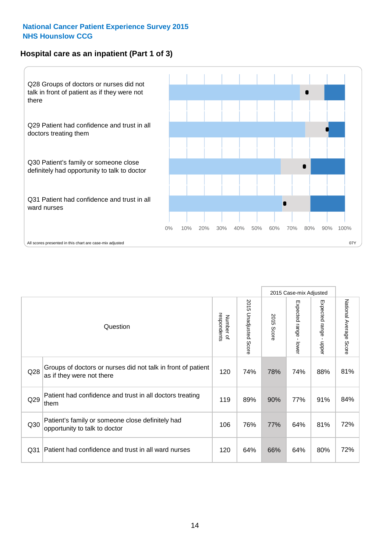## **Hospital care as an inpatient (Part 1 of 3)**



All scores presented in this chart are case-mix adjusted  $07Y$ 

|                 |                                                                                           |                          |                          |                      | 2015 Case-mix Adjusted                    |                                       |                        |
|-----------------|-------------------------------------------------------------------------------------------|--------------------------|--------------------------|----------------------|-------------------------------------------|---------------------------------------|------------------------|
|                 | Question                                                                                  | respondents<br>Number of | 2015<br>Unadjusted Score | 2015<br><b>Score</b> | Expected range<br>$\blacksquare$<br>lower | Expected range<br>$\mathbf{I}$<br>ddo | National Average Score |
| Q28             | Groups of doctors or nurses did not talk in front of patient<br>as if they were not there | 120                      | 74%                      | 78%                  | 74%                                       | 88%                                   | 81%                    |
| Q29             | Patient had confidence and trust in all doctors treating<br>them                          | 119                      | 89%                      | 90%                  | 77%                                       | 91%                                   | 84%                    |
| Q30             | Patient's family or someone close definitely had<br>opportunity to talk to doctor         | 106                      | 76%                      | 77%                  | 64%                                       | 81%                                   | 72%                    |
| Q <sub>31</sub> | Patient had confidence and trust in all ward nurses                                       | 120                      | 64%                      | 66%                  | 64%                                       | 80%                                   | 72%                    |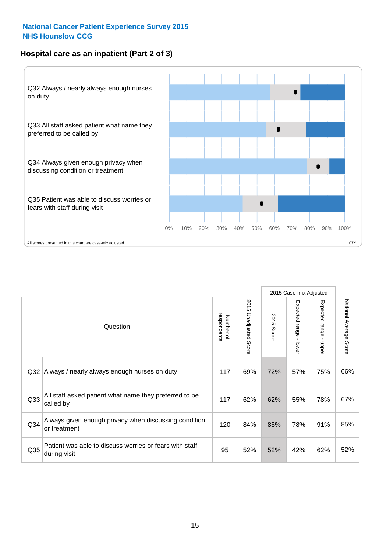### **Hospital care as an inpatient (Part 2 of 3)**



|                 |                                                                         |                          |                                 |            | 2015 Case-mix Adjusted |                                         |                        |
|-----------------|-------------------------------------------------------------------------|--------------------------|---------------------------------|------------|------------------------|-----------------------------------------|------------------------|
|                 | Question                                                                | respondents<br>Number of | 2015<br><b>Unadjusted Score</b> | 2015 Score | Expected range - lower | Expected range<br>$\mathbf{r}$<br>nbber | National Average Score |
| Q <sub>32</sub> | Always / nearly always enough nurses on duty                            | 117                      | 69%                             | 72%        | 57%                    | 75%                                     | 66%                    |
| Q <sub>33</sub> | All staff asked patient what name they preferred to be<br>called by     | 117                      | 62%                             | 62%        | 55%                    | 78%                                     | 67%                    |
| Q34             | Always given enough privacy when discussing condition<br>or treatment   | 120                      | 84%                             | 85%        | 78%                    | 91%                                     | 85%                    |
| Q35             | Patient was able to discuss worries or fears with staff<br>during visit | 95                       | 52%                             | 52%        | 42%                    | 62%                                     | 52%                    |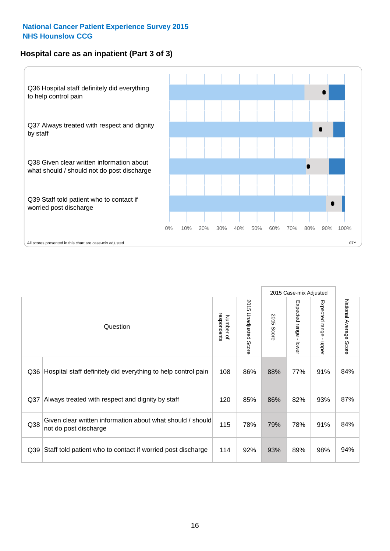### **Hospital care as an inpatient (Part 3 of 3)**



|                 |                                                                                     |                          |                                 |               | 2015 Case-mix Adjusted                    |                        |                        |
|-----------------|-------------------------------------------------------------------------------------|--------------------------|---------------------------------|---------------|-------------------------------------------|------------------------|------------------------|
|                 | Question                                                                            | respondents<br>Number of | 2015<br><b>Unadjusted Score</b> | 2015<br>Score | Expected range<br>$\blacksquare$<br>lower | Expected range - upper | National Average Score |
| Q36             | Hospital staff definitely did everything to help control pain                       | 108                      | 86%                             | 88%           | 77%                                       | 91%                    | 84%                    |
| Q <sub>37</sub> | Always treated with respect and dignity by staff                                    | 120                      | 85%                             | 86%           | 82%                                       | 93%                    | 87%                    |
| Q38             | Given clear written information about what should / should<br>not do post discharge | 115                      | 78%                             | 79%           | 78%                                       | 91%                    | 84%                    |
| Q <sub>39</sub> | Staff told patient who to contact if worried post discharge                         | 114                      | 92%                             | 93%           | 89%                                       | 98%                    | 94%                    |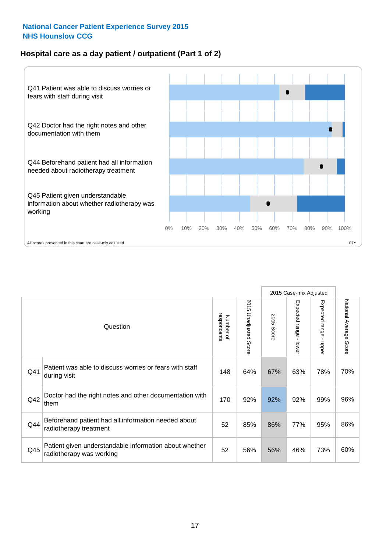### **Hospital care as a day patient / outpatient (Part 1 of 2)**



|     |                                                                                    |                          |                                 |                      | 2015 Case-mix Adjusted                    |                                         |                        |
|-----|------------------------------------------------------------------------------------|--------------------------|---------------------------------|----------------------|-------------------------------------------|-----------------------------------------|------------------------|
|     | Question                                                                           | respondents<br>Number of | 2015<br><b>Unadjusted Score</b> | 2015<br><b>Score</b> | Expected range<br>$\blacksquare$<br>lower | Expected range<br>$\mathbf{I}$<br>nbber | National Average Score |
| Q41 | Patient was able to discuss worries or fears with staff<br>during visit            | 148                      | 64%                             | 67%                  | 63%                                       | 78%                                     | 70%                    |
| Q42 | Doctor had the right notes and other documentation with<br>them                    | 170                      | 92%                             | 92%                  | 92%                                       | 99%                                     | 96%                    |
| Q44 | Beforehand patient had all information needed about<br>radiotherapy treatment      | 52                       | 85%                             | 86%                  | 77%                                       | 95%                                     | 86%                    |
| Q45 | Patient given understandable information about whether<br>radiotherapy was working | 52                       | 56%                             | 56%                  | 46%                                       | 73%                                     | 60%                    |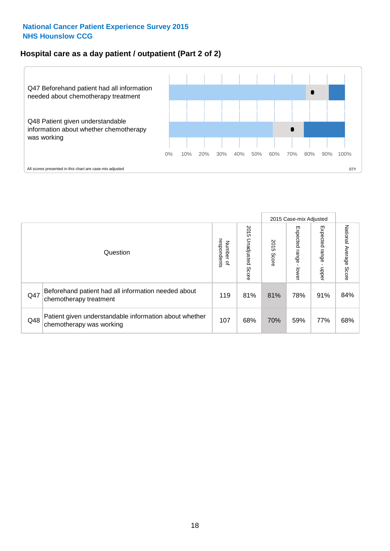### **Hospital care as a day patient / outpatient (Part 2 of 2)**



|     |                                                                                    |                                       | 2015 Case-mix Adjusted      |               |                             |                         |                        |
|-----|------------------------------------------------------------------------------------|---------------------------------------|-----------------------------|---------------|-----------------------------|-------------------------|------------------------|
|     | Question                                                                           | respondents<br>Number<br>$\mathbf{Q}$ | 2015<br>Unadjusted<br>Score | 2015<br>Score | Expected<br>Irange<br>lower | Expected range<br>doper | National Average Score |
| Q47 | Beforehand patient had all information needed about<br>chemotherapy treatment      | 119                                   | 81%                         | 81%           | 78%                         | 91%                     | 84%                    |
| Q48 | Patient given understandable information about whether<br>chemotherapy was working | 107                                   | 68%                         | 70%           | 59%                         | 77%                     | 68%                    |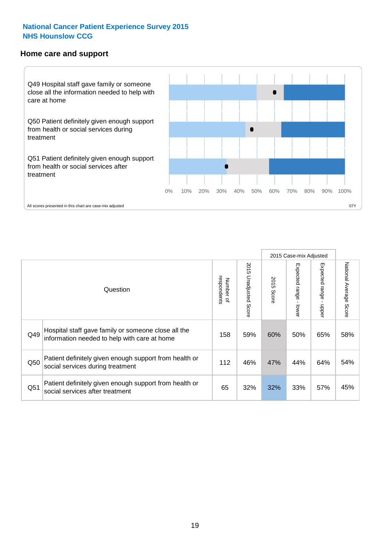#### **Home care and support**



2015 Case-mix Adjusted 2015 Unadjusted Score Expected range - upper National Average Score 2015 Unadjusted Score Expected range - lower National Average Score Expected range - lower Expected range - upper Number of<br>respondents 2015 Score respondents 2015 Score Number of Question Hospital staff gave family or someone close all the  $Q49$  information needed to help with care at home  $Q49$  and  $Q59\%$  60% 50% 65% 58% Patient definitely given enough support from health or  $\frac{112}{\sqrt{112}}$  and Social services during treatment  $\frac{112}{\sqrt{112}}$   $\frac{46\%}{\sqrt{112}}$   $\frac{47\%}{\sqrt{112}}$   $\frac{44\%}{\sqrt{112}}$  64%  $\frac{64\%}{\sqrt{112}}$ Patient definitely given enough support from health or  $\frac{1}{2}$  and the dominary given enough support nominealities  $\frac{1}{2}$  65  $\frac{32\%}{32\%}$  32% 33% 57% 45%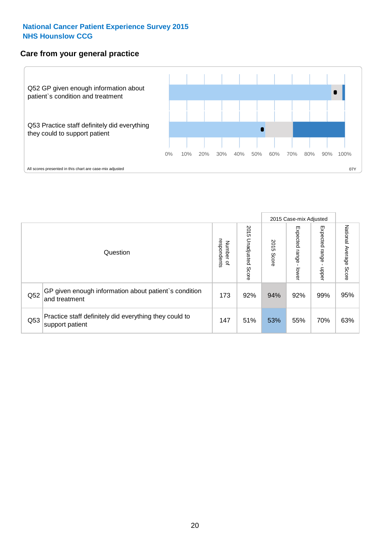### **Care from your general practice**



|     |                                                                           |                                       |                             |               |                             | 2015 Case-mix Adjusted     |                           |
|-----|---------------------------------------------------------------------------|---------------------------------------|-----------------------------|---------------|-----------------------------|----------------------------|---------------------------|
|     | Question                                                                  | respondents<br>Number<br>$\mathbf{Q}$ | 2015<br>Unadjusted<br>Score | 2015<br>Score | Expected<br>Irange<br>lower | Expected<br>range<br>nbber | National Average<br>Score |
| Q52 | GP given enough information about patient's condition<br>and treatment    | 173                                   | 92%                         | 94%           | 92%                         | 99%                        | 95%                       |
| Q53 | Practice staff definitely did everything they could to<br>support patient | 147                                   | 51%                         | 53%           | 55%                         | 70%                        | 63%                       |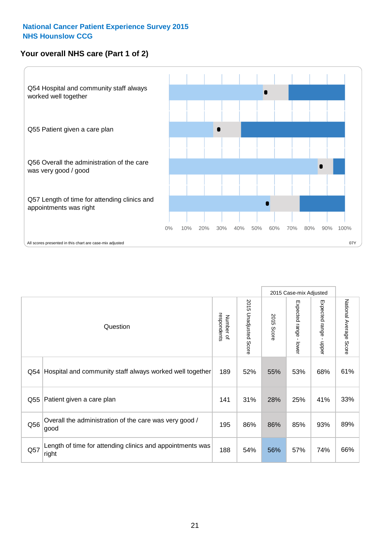## **Your overall NHS care (Part 1 of 2)**



|     |                                                                    |                          | 2015 Case-mix Adjusted   |               |                                           |                                           |                        |
|-----|--------------------------------------------------------------------|--------------------------|--------------------------|---------------|-------------------------------------------|-------------------------------------------|------------------------|
|     | Question                                                           | respondents<br>Number of | 2015<br>Unadjusted Score | 2015<br>Score | Expected range<br>$\blacksquare$<br>lower | Expected range<br>$\blacksquare$<br>nbber | National Average Score |
| Q54 | Hospital and community staff always worked well together           | 189                      | 52%                      | 55%           | 53%                                       | 68%                                       | 61%                    |
| Q55 | Patient given a care plan                                          | 141                      | 31%                      | 28%           | 25%                                       | 41%                                       | 33%                    |
| Q56 | Overall the administration of the care was very good /<br>good     | 195                      | 86%                      | 86%           | 85%                                       | 93%                                       | 89%                    |
| Q57 | Length of time for attending clinics and appointments was<br>right | 188                      | 54%                      | 56%           | 57%                                       | 74%                                       | 66%                    |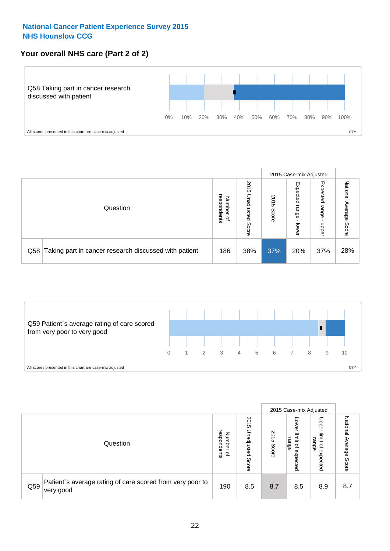### **Your overall NHS care (Part 2 of 2)**



|     |                                                       |                                   | 2015 Case-mix Adjusted      |               |                            |                            |                        |
|-----|-------------------------------------------------------|-----------------------------------|-----------------------------|---------------|----------------------------|----------------------------|------------------------|
|     | Question                                              | respondents<br>Number<br>$\Omega$ | 2015<br>Unadjusted<br>Score | 2015<br>Score | Expected<br>range<br>lower | Expected<br>range<br>nbber | National Average Score |
| Q58 | Taking part in cancer research discussed with patient | 186                               | 38%                         | 37%           | 20%                        | 37%                        | 28%                    |



|     |                                                                        |                                              |                             |               |                                                    | 2015 Case-mix Adjusted                                          |                              |
|-----|------------------------------------------------------------------------|----------------------------------------------|-----------------------------|---------------|----------------------------------------------------|-----------------------------------------------------------------|------------------------------|
|     | Question                                                               | respondents<br>Number<br>$\overline{\sigma}$ | 2015<br>Jnadjusted<br>Score | 2015<br>Score | OWer<br>limit<br>range<br>$\mathsf{a}$<br>expected | Upper<br>limit<br>range<br>$\overline{\mathcal{C}}$<br>expected | National<br>Average<br>Score |
| Q59 | Patient's average rating of care scored from very poor to<br>very good | 190                                          | 8.5                         | 8.7           | 8.5                                                | 8.9                                                             | 8.7                          |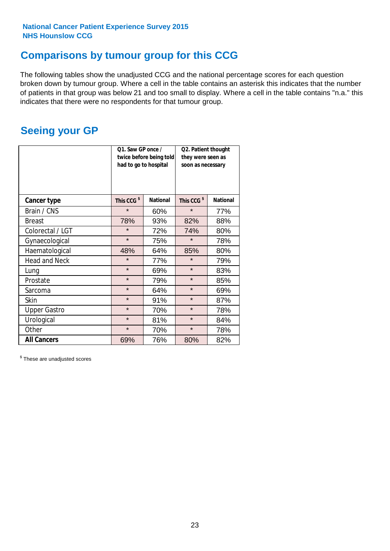# **Comparisons by tumour group for this CCG**

The following tables show the unadjusted CCG and the national percentage scores for each question broken down by tumour group. Where a cell in the table contains an asterisk this indicates that the number of patients in that group was below 21 and too small to display. Where a cell in the table contains "n.a." this indicates that there were no respondents for that tumour group.

# **Seeing your GP**

|                      | Q1. Saw GP once /<br>had to go to hospital | twice before being told | Q2. Patient thought<br>they were seen as<br>soon as necessary |                 |  |
|----------------------|--------------------------------------------|-------------------------|---------------------------------------------------------------|-----------------|--|
| <b>Cancer type</b>   | This CCG <sup>\$</sup>                     | <b>National</b>         | This CCG <sup>\$</sup>                                        | <b>National</b> |  |
| Brain / CNS          | $\star$                                    | 60%                     | $\star$                                                       | 77%             |  |
| <b>Breast</b>        | 78%                                        | 93%                     | 82%                                                           | 88%             |  |
| Colorectal / LGT     | $\star$                                    | 72%                     | 74%                                                           | 80%             |  |
| Gynaecological       | $\star$                                    | 75%                     | $\star$                                                       | 78%             |  |
| Haematological       | 48%                                        | 64%                     | 85%                                                           | 80%             |  |
| <b>Head and Neck</b> | $\star$                                    | 77%                     | $\star$                                                       | 79%             |  |
| Lung                 | $\star$                                    | 69%                     | $\star$                                                       | 83%             |  |
| Prostate             | $\star$                                    | 79%                     | $\star$                                                       | 85%             |  |
| Sarcoma              | $\star$                                    | 64%                     | $\star$                                                       | 69%             |  |
| Skin                 | $\star$                                    | 91%                     | $\star$                                                       | 87%             |  |
| <b>Upper Gastro</b>  | $\star$                                    | 70%                     | $\star$                                                       | 78%             |  |
| Urological           | $\star$                                    | 81%                     | $\star$                                                       | 84%             |  |
| Other                | $\star$                                    | 70%                     | $\star$                                                       | 78%             |  |
| <b>All Cancers</b>   | 69%                                        | 76%                     | 80%                                                           | 82%             |  |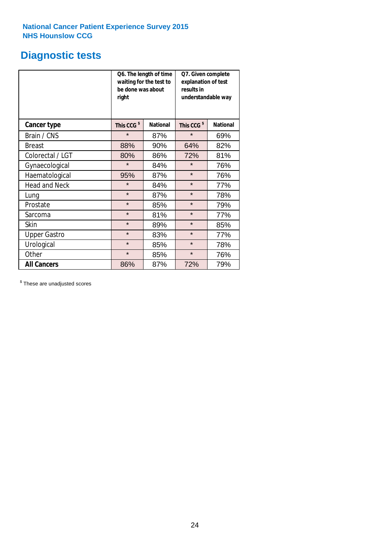# **Diagnostic tests**

|                      | be done was about<br>right | Q6. The length of time<br>waiting for the test to | Q7. Given complete<br>explanation of test<br>results in<br>understandable way |                 |  |
|----------------------|----------------------------|---------------------------------------------------|-------------------------------------------------------------------------------|-----------------|--|
| <b>Cancer type</b>   | This CCG <sup>\$</sup>     | <b>National</b>                                   | This CCG <sup>\$</sup>                                                        | <b>National</b> |  |
| Brain / CNS          | $\star$                    | 87%                                               | $\star$                                                                       | 69%             |  |
| <b>Breast</b>        | 88%                        | 90%                                               | 64%                                                                           | 82%             |  |
| Colorectal / LGT     | 80%                        | 86%                                               | 72%                                                                           | 81%             |  |
| Gynaecological       | $\star$                    | 84%                                               | $\star$                                                                       | 76%             |  |
| Haematological       | 95%                        | 87%                                               | $\star$                                                                       | 76%             |  |
| <b>Head and Neck</b> | $\star$                    | 84%                                               | $\star$                                                                       | 77%             |  |
| Lung                 | $\star$                    | 87%                                               | $\star$                                                                       | 78%             |  |
| Prostate             | $\star$                    | 85%                                               | $\star$                                                                       | 79%             |  |
| Sarcoma              | $\star$                    | 81%                                               | $\star$                                                                       | 77%             |  |
| <b>Skin</b>          | $\star$                    | 89%                                               | $\star$                                                                       | 85%             |  |
| <b>Upper Gastro</b>  | $\star$                    | 83%                                               | $\star$                                                                       | 77%             |  |
| Urological           | $\star$                    | 85%                                               | $\star$                                                                       | 78%             |  |
| Other                | $\star$                    | 85%                                               | $\star$                                                                       | 76%             |  |
| <b>All Cancers</b>   | 86%                        | 87%                                               | 72%                                                                           | 79%             |  |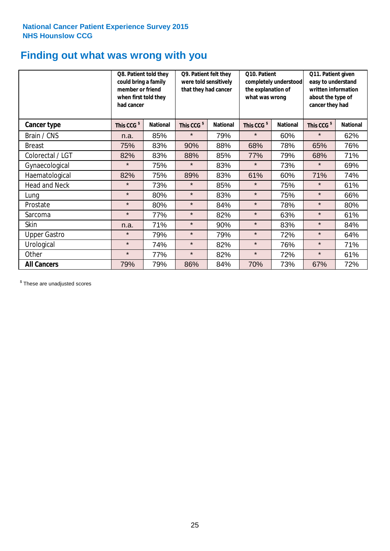# **Finding out what was wrong with you**

|                      | Q8. Patient told they<br>could bring a family<br>member or friend<br>when first told they<br>had cancer |                 | Q9. Patient felt they<br>were told sensitively<br>that they had cancer |                 | Q10. Patient<br>completely understood<br>the explanation of<br>what was wrong |                 | Q11. Patient given<br>easy to understand<br>written information<br>about the type of<br>cancer they had |                 |
|----------------------|---------------------------------------------------------------------------------------------------------|-----------------|------------------------------------------------------------------------|-----------------|-------------------------------------------------------------------------------|-----------------|---------------------------------------------------------------------------------------------------------|-----------------|
| Cancer type          | This CCG <sup>\$</sup>                                                                                  | <b>National</b> | This CCG <sup>\$</sup>                                                 | <b>National</b> | This CCG <sup>\$</sup>                                                        | <b>National</b> | This CCG <sup>\$</sup>                                                                                  | <b>National</b> |
| Brain / CNS          | n.a.                                                                                                    | 85%             | $\star$                                                                | 79%             | $\star$                                                                       | 60%             | $\star$                                                                                                 | 62%             |
| <b>Breast</b>        | 75%                                                                                                     | 83%             | 90%                                                                    | 88%             | 68%                                                                           | 78%             | 65%                                                                                                     | 76%             |
| Colorectal / LGT     | 82%                                                                                                     | 83%             | 88%                                                                    | 85%             | 77%                                                                           | 79%             | 68%                                                                                                     | 71%             |
| Gynaecological       | $\star$                                                                                                 | 75%             | $\star$                                                                | 83%             | $\star$                                                                       | 73%             | $\star$                                                                                                 | 69%             |
| Haematological       | 82%                                                                                                     | 75%             | 89%                                                                    | 83%             | 61%                                                                           | 60%             | 71%                                                                                                     | 74%             |
| <b>Head and Neck</b> | $\star$                                                                                                 | 73%             | $\star$                                                                | 85%             | $\star$                                                                       | 75%             | $\star$                                                                                                 | 61%             |
| Lung                 | $\star$                                                                                                 | 80%             | $\star$                                                                | 83%             | $\star$                                                                       | 75%             | $\star$                                                                                                 | 66%             |
| Prostate             | $\star$                                                                                                 | 80%             | $\star$                                                                | 84%             | $\star$                                                                       | 78%             | $\star$                                                                                                 | 80%             |
| Sarcoma              | $\star$                                                                                                 | 77%             | $\star$                                                                | 82%             | $\star$                                                                       | 63%             | $\star$                                                                                                 | 61%             |
| Skin                 | n.a.                                                                                                    | 71%             | $\star$                                                                | 90%             | $\star$                                                                       | 83%             | $\star$                                                                                                 | 84%             |
| <b>Upper Gastro</b>  | $\star$                                                                                                 | 79%             | $\star$                                                                | 79%             | $\star$                                                                       | 72%             | $\star$                                                                                                 | 64%             |
| Urological           | $\star$                                                                                                 | 74%             | $\star$                                                                | 82%             | $\star$                                                                       | 76%             | $\star$                                                                                                 | 71%             |
| Other                | $\star$                                                                                                 | 77%             | $\star$                                                                | 82%             | $\star$                                                                       | 72%             | $\star$                                                                                                 | 61%             |
| <b>All Cancers</b>   | 79%                                                                                                     | 79%             | 86%                                                                    | 84%             | 70%                                                                           | 73%             | 67%                                                                                                     | 72%             |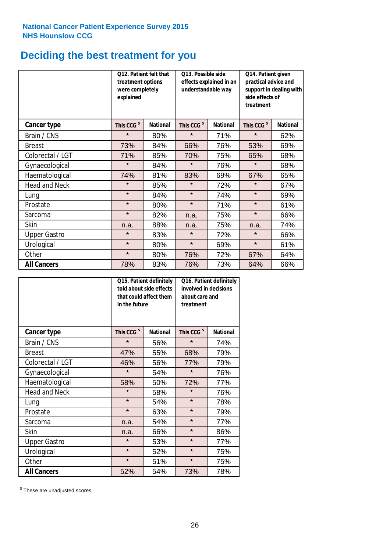# **Deciding the best treatment for you**

|                      | 012. Patient felt that<br>treatment options<br>were completely<br>explained |                 | O13. Possible side<br>understandable way  | effects explained in an | Q14. Patient given<br>practical advice and<br>support in dealing with<br>side effects of<br>treatment |                 |  |
|----------------------|-----------------------------------------------------------------------------|-----------------|-------------------------------------------|-------------------------|-------------------------------------------------------------------------------------------------------|-----------------|--|
| <b>Cancer type</b>   | This CCG <sup>\$</sup>                                                      | <b>National</b> | This CCG <sup>\$</sup><br><b>National</b> |                         | This CCG <sup>\$</sup>                                                                                | <b>National</b> |  |
| Brain / CNS          | $\star$                                                                     | 80%             | $\star$                                   | 71%                     | $\star$                                                                                               | 62%             |  |
| <b>Breast</b>        | 73%                                                                         | 84%             | 66%                                       | 76%                     | 53%                                                                                                   | 69%             |  |
| Colorectal / LGT     | 71%                                                                         | 85%             | 70%                                       | 75%                     | 65%                                                                                                   | 68%             |  |
| Gynaecological       | $\star$                                                                     | 84%             | $\star$                                   | 76%                     | $\star$                                                                                               | 68%             |  |
| Haematological       | 74%                                                                         | 81%             | 83%                                       | 69%                     | 67%                                                                                                   | 65%             |  |
| <b>Head and Neck</b> | $\star$                                                                     | 85%             | $\star$                                   | 72%                     | $\star$                                                                                               | 67%             |  |
| Lung                 | $\star$                                                                     | 84%             | $\star$                                   | 74%                     | $\star$                                                                                               | 69%             |  |
| Prostate             | $\star$                                                                     | 80%             | $\star$                                   | 71%                     | $\star$                                                                                               | 61%             |  |
| Sarcoma              | $\star$                                                                     | 82%             | n.a.                                      | 75%                     | $\star$                                                                                               | 66%             |  |
| Skin                 | n.a.                                                                        | 88%             | n.a.                                      | 75%                     | n.a.                                                                                                  | 74%             |  |
| <b>Upper Gastro</b>  | $\star$                                                                     | 83%             | $\star$                                   | 72%                     | $\star$                                                                                               | 66%             |  |
| Urological           | $\star$                                                                     | 80%             | $\star$                                   | 69%                     | $\star$                                                                                               | 61%             |  |
| Other                | $\star$                                                                     | 80%             | 76%                                       | 72%                     | 67%                                                                                                   | 64%             |  |
| <b>All Cancers</b>   | 78%                                                                         | 83%             | 76%                                       | 73%                     | 64%                                                                                                   | 66%             |  |

|                      | in the future          | Q15. Patient definitely<br>told about side effects<br>that could affect them | Q16. Patient definitely<br>involved in decisions<br>about care and<br>treatment |                 |  |
|----------------------|------------------------|------------------------------------------------------------------------------|---------------------------------------------------------------------------------|-----------------|--|
| <b>Cancer type</b>   | This CCG <sup>\$</sup> | <b>National</b>                                                              | This CCG <sup>\$</sup>                                                          | <b>National</b> |  |
| Brain / CNS          | $\star$                | 56%                                                                          | $\star$                                                                         | 74%             |  |
| <b>Breast</b>        | 47%                    | 55%                                                                          | 68%                                                                             | 79%             |  |
| Colorectal / LGT     | 46%                    | 56%                                                                          | 77%                                                                             | 79%             |  |
| Gynaecological       | $\star$                | 54%                                                                          | $\star$                                                                         | 76%             |  |
| Haematological       | 58%                    | 50%                                                                          |                                                                                 | 77%             |  |
| <b>Head and Neck</b> | $\star$                | 58%                                                                          | $\star$                                                                         | 76%             |  |
| Lung                 | $\star$                | 54%                                                                          | $\star$                                                                         | 78%             |  |
| Prostate             | $\star$                | 63%                                                                          | $\star$                                                                         | 79%             |  |
| Sarcoma              | n.a.                   | 54%                                                                          | $\star$                                                                         | 77%             |  |
| Skin                 | n.a.                   | 66%                                                                          | $\star$                                                                         | 86%             |  |
| <b>Upper Gastro</b>  | $\star$                | 53%                                                                          | $\star$                                                                         | 77%             |  |
| Urological           | $\star$                | 52%                                                                          | $\star$                                                                         | 75%             |  |
| Other                | $\star$                | 51%                                                                          | $\star$                                                                         | 75%             |  |
| <b>All Cancers</b>   | 52%                    | 54%                                                                          | 73%                                                                             | 78%             |  |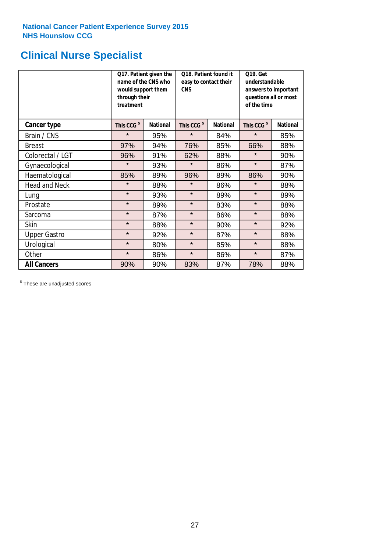# **Clinical Nurse Specialist**

|                      | would support them<br>through their<br>treatment | Q17. Patient given the<br>name of the CNS who | Q18. Patient found it<br>easy to contact their<br><b>CNS</b> |                 | <b>Q19. Get</b><br>understandable<br>answers to important<br>questions all or most<br>of the time |                 |  |
|----------------------|--------------------------------------------------|-----------------------------------------------|--------------------------------------------------------------|-----------------|---------------------------------------------------------------------------------------------------|-----------------|--|
| <b>Cancer type</b>   | This CCG <sup>\$</sup>                           | <b>National</b>                               | This CCG <sup>\$</sup>                                       | <b>National</b> | This CCG <sup>\$</sup>                                                                            | <b>National</b> |  |
| Brain / CNS          | $\star$                                          | 95%                                           | $\star$                                                      | 84%             | $\star$                                                                                           | 85%             |  |
| <b>Breast</b>        | 97%                                              | 94%                                           | 76%                                                          | 85%             | 66%                                                                                               | 88%             |  |
| Colorectal / LGT     | 96%                                              | 91%                                           | 62%                                                          | 88%             | $\star$                                                                                           | 90%             |  |
| Gynaecological       | $\star$                                          | 93%                                           | $\star$                                                      | 86%             | $\star$                                                                                           | 87%             |  |
| Haematological       | 85%                                              | 89%                                           | 96%                                                          | 89%             | 86%                                                                                               | 90%             |  |
| <b>Head and Neck</b> | $\star$                                          | 88%                                           | $\star$                                                      | 86%             | $\star$                                                                                           | 88%             |  |
| Lung                 | $\star$                                          | 93%                                           | $\star$                                                      | 89%             | $\star$                                                                                           | 89%             |  |
| Prostate             | $\star$                                          | 89%                                           | $\star$                                                      | 83%             | $\star$                                                                                           | 88%             |  |
| Sarcoma              | $\star$                                          | 87%                                           | $\star$                                                      | 86%             | $\star$                                                                                           | 88%             |  |
| Skin                 | $\star$                                          | 88%                                           | $\star$                                                      | 90%             | $\star$                                                                                           | 92%             |  |
| <b>Upper Gastro</b>  | $\star$                                          | 92%                                           | $\star$                                                      | 87%             | $\star$                                                                                           | 88%             |  |
| Urological           | $\star$                                          | 80%                                           | $\star$                                                      | 85%             | $\star$                                                                                           | 88%             |  |
| Other                | $\star$                                          | 86%                                           | $\star$                                                      | 86%             | $\star$                                                                                           | 87%             |  |
| <b>All Cancers</b>   | 90%                                              | 90%                                           | 83%                                                          | 87%             | 78%                                                                                               | 88%             |  |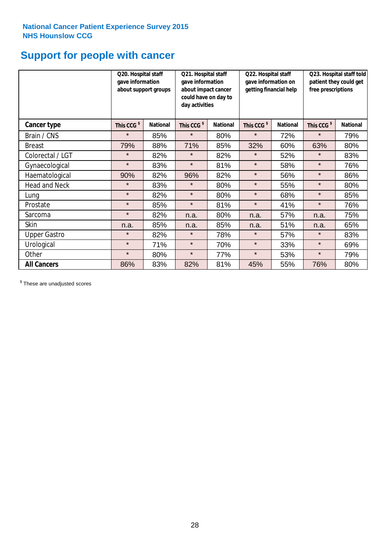# **Support for people with cancer**

|                      | Q20. Hospital staff<br>gave information | about support groups | Q21. Hospital staff<br>gave information<br>about impact cancer<br>could have on day to<br>day activities |                 | Q22. Hospital staff<br>gave information on<br>getting financial help |                 | Q23. Hospital staff told<br>patient they could get<br>free prescriptions |                 |
|----------------------|-----------------------------------------|----------------------|----------------------------------------------------------------------------------------------------------|-----------------|----------------------------------------------------------------------|-----------------|--------------------------------------------------------------------------|-----------------|
| Cancer type          | This CCG <sup>\$</sup>                  | <b>National</b>      | This CCG <sup>\$</sup>                                                                                   | <b>National</b> | This CCG <sup>\$</sup>                                               | <b>National</b> | This CCG <sup>\$</sup>                                                   | <b>National</b> |
| Brain / CNS          | $\star$                                 | 85%                  | $\star$                                                                                                  | 80%             | $\star$                                                              | 72%             | $\star$                                                                  | 79%             |
| <b>Breast</b>        | 79%                                     | 88%                  | 71%                                                                                                      | 85%             | 32%                                                                  | 60%             | 63%                                                                      | 80%             |
| Colorectal / LGT     | $\star$                                 | 82%                  | $\star$                                                                                                  | 82%             | $\star$                                                              | 52%             | $\star$                                                                  | 83%             |
| Gynaecological       | $\star$                                 | 83%                  | $\star$                                                                                                  | 81%             | $\star$                                                              | 58%             | $\star$                                                                  | 76%             |
| Haematological       | 90%                                     | 82%                  | 96%                                                                                                      | 82%             | $\star$                                                              | 56%             | $\star$                                                                  | 86%             |
| <b>Head and Neck</b> | $\star$                                 | 83%                  | $\star$                                                                                                  | 80%             | $\star$                                                              | 55%             | $\star$                                                                  | 80%             |
| Lung                 | $\star$                                 | 82%                  | $\star$                                                                                                  | 80%             | $\star$                                                              | 68%             | $\star$                                                                  | 85%             |
| Prostate             | $\star$                                 | 85%                  | $\star$                                                                                                  | 81%             | $\star$                                                              | 41%             | $\star$                                                                  | 76%             |
| Sarcoma              | $\star$                                 | 82%                  | n.a.                                                                                                     | 80%             | n.a.                                                                 | 57%             | n.a.                                                                     | 75%             |
| Skin                 | n.a.                                    | 85%                  | n.a.                                                                                                     | 85%             | n.a.                                                                 | 51%             | n.a.                                                                     | 65%             |
| <b>Upper Gastro</b>  | $\star$                                 | 82%                  | $\star$                                                                                                  | 78%             | $\star$                                                              | 57%             | $\star$                                                                  | 83%             |
| Urological           | $\star$                                 | 71%                  | $\star$                                                                                                  | 70%             | $\star$                                                              | 33%             | $\star$                                                                  | 69%             |
| Other                | $\star$                                 | 80%                  | $\star$                                                                                                  | 77%             | $\star$                                                              | 53%             | $\star$                                                                  | 79%             |
| <b>All Cancers</b>   | 86%                                     | 83%                  | 82%                                                                                                      | 81%             | 45%                                                                  | 55%             | 76%                                                                      | 80%             |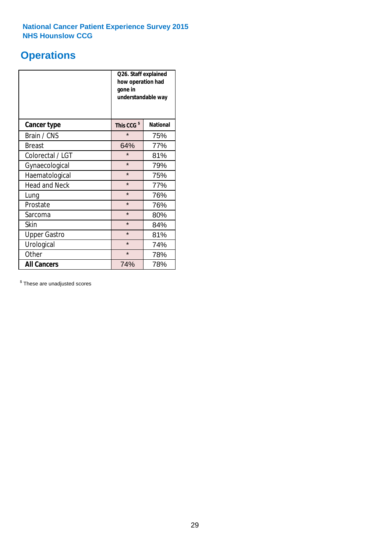# **Operations**

|                      | Q26. Staff explained<br>how operation had<br>gone in<br>understandable way |                 |  |  |  |
|----------------------|----------------------------------------------------------------------------|-----------------|--|--|--|
| <b>Cancer type</b>   | This CCG <sup>\$</sup>                                                     | <b>National</b> |  |  |  |
| Brain / CNS          | $\star$                                                                    | 75%             |  |  |  |
| <b>Breast</b>        | 64%                                                                        | 77%             |  |  |  |
| Colorectal / LGT     | $\star$                                                                    | 81%             |  |  |  |
| Gynaecological       | $\star$                                                                    | 79%             |  |  |  |
| Haematological       | $\star$                                                                    | 75%             |  |  |  |
| <b>Head and Neck</b> | $\star$                                                                    | 77%             |  |  |  |
| Lung                 | $\star$                                                                    | 76%             |  |  |  |
| Prostate             | $\star$                                                                    | 76%             |  |  |  |
| Sarcoma              | $\star$                                                                    | 80%             |  |  |  |
| Skin                 | $\star$                                                                    | 84%             |  |  |  |
| <b>Upper Gastro</b>  | $\star$                                                                    | 81%             |  |  |  |
| Urological           | $\star$                                                                    | 74%             |  |  |  |
| Other                | $\star$                                                                    | 78%             |  |  |  |
| <b>All Cancers</b>   | 74%                                                                        | 78%             |  |  |  |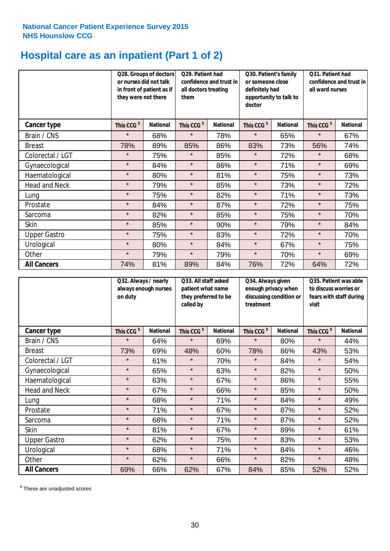# **Hospital care as an inpatient (Part 1 of 2)**

|                      | they were not there    | Q28. Groups of doctors<br>or nurses did not talk<br>in front of patient as if | Q29. Patient had<br>confidence and trust in<br>all doctors treating<br>them |                 | Q30. Patient's family<br>or someone close<br>definitely had<br>opportunity to talk to<br>doctor |                 | Q31. Patient had<br>confidence and trust in I<br>all ward nurses |                 |
|----------------------|------------------------|-------------------------------------------------------------------------------|-----------------------------------------------------------------------------|-----------------|-------------------------------------------------------------------------------------------------|-----------------|------------------------------------------------------------------|-----------------|
| Cancer type          | This CCG <sup>\$</sup> | <b>National</b>                                                               | This CCG <sup>\$</sup>                                                      | <b>National</b> | This CCG <sup>\$</sup>                                                                          | <b>National</b> | This CCG <sup>\$</sup>                                           | <b>National</b> |
| Brain / CNS          | $\star$                | 68%                                                                           | $\star$                                                                     | 78%             | $\star$                                                                                         | 65%             | $\star$                                                          | 67%             |
| <b>Breast</b>        | 78%                    | 89%                                                                           | 85%                                                                         | 86%             | 83%                                                                                             | 73%             | 56%                                                              | 74%             |
| Colorectal / LGT     | $\star$                | 75%                                                                           | $\star$                                                                     | 85%             | $\star$                                                                                         | 72%             | $\star$                                                          | 68%             |
| Gynaecological       | $\star$                | 84%                                                                           | $\star$                                                                     | 86%             | $\star$                                                                                         | 71%             | $\star$                                                          | 69%             |
| Haematological       | $\star$                | 80%                                                                           | $\star$                                                                     | 81%             | $\star$                                                                                         | 75%             | $\star$                                                          | 73%             |
| <b>Head and Neck</b> | $\star$                | 79%                                                                           | $\star$                                                                     | 85%             | $\star$                                                                                         | 73%             | $\star$                                                          | 72%             |
| Lung                 | $\star$                | 75%                                                                           | $\star$                                                                     | 82%             | $\star$                                                                                         | 71%             | $\star$                                                          | 73%             |
| Prostate             | $\star$                | 84%                                                                           | $\star$                                                                     | 87%             | $\star$                                                                                         | 72%             | $\star$                                                          | 75%             |
| Sarcoma              | $\star$                | 82%                                                                           | $\star$                                                                     | 85%             | $\star$                                                                                         | 75%             | $\star$                                                          | 70%             |
| Skin                 | $\star$                | 85%                                                                           | $\star$                                                                     | 90%             | $\star$                                                                                         | 79%             | $\star$                                                          | 84%             |
| <b>Upper Gastro</b>  | $\star$                | 75%                                                                           | $\star$                                                                     | 83%             | $\star$                                                                                         | 72%             | $\star$                                                          | 70%             |
| Urological           | $\star$                | 80%                                                                           | $\star$                                                                     | 84%             | $\star$                                                                                         | 67%             | $\star$                                                          | 75%             |
| Other                | $\star$                | 79%                                                                           | $\star$                                                                     | 79%             | $\star$                                                                                         | 70%             | $\star$                                                          | 69%             |
| <b>All Cancers</b>   | 74%                    | 81%                                                                           | 89%                                                                         | 84%             | 76%                                                                                             | 72%             | 64%                                                              | 72%             |

|                      | on duty                | Q32. Always / nearly<br>always enough nurses |                        | Q33. All staff asked<br>patient what name<br>they preferred to be<br>called by |                        | Q34. Always given<br>enough privacy when<br>discussing condition or<br>treatment |                        | Q35. Patient was able<br>to discuss worries or<br>fears with staff during<br>visit |  |
|----------------------|------------------------|----------------------------------------------|------------------------|--------------------------------------------------------------------------------|------------------------|----------------------------------------------------------------------------------|------------------------|------------------------------------------------------------------------------------|--|
| <b>Cancer type</b>   | This CCG <sup>\$</sup> | <b>National</b>                              | This CCG <sup>\$</sup> | <b>National</b>                                                                | This CCG <sup>\$</sup> | <b>National</b>                                                                  | This CCG <sup>\$</sup> | <b>National</b>                                                                    |  |
| Brain / CNS          | $\star$                | 64%                                          | $\star$                | 69%                                                                            | $\star$                | 80%                                                                              | $\star$                | 44%                                                                                |  |
| <b>Breast</b>        | 73%                    | 69%                                          | 48%                    | 60%                                                                            | 78%                    | 86%                                                                              | 43%                    | 53%                                                                                |  |
| Colorectal / LGT     | $\star$                | 61%                                          | $\star$                | 70%                                                                            | $\star$                | 84%                                                                              | $\star$                | 54%                                                                                |  |
| Gynaecological       | $\star$                | 65%                                          | $\star$                | 63%                                                                            | $\star$                | 82%                                                                              | $\star$                | 50%                                                                                |  |
| Haematological       | $\star$                | 63%                                          | $\star$                | 67%                                                                            | $\star$                | 86%                                                                              | $\star$                | 55%                                                                                |  |
| <b>Head and Neck</b> | $\star$                | 67%                                          | $\star$                | 66%                                                                            | $\star$                | 85%                                                                              | $\star$                | 50%                                                                                |  |
| Lung                 | $\star$                | 68%                                          | $\star$                | 71%                                                                            | $\star$                | 84%                                                                              | $\star$                | 49%                                                                                |  |
| Prostate             | $\star$                | 71%                                          | $\star$                | 67%                                                                            | $\star$                | 87%                                                                              | $\star$                | 52%                                                                                |  |
| Sarcoma              | $\star$                | 68%                                          | $\star$                | 71%                                                                            | $\star$                | 87%                                                                              | $\star$                | 52%                                                                                |  |
| Skin                 | $\star$                | 81%                                          | $\star$                | 67%                                                                            | $\star$                | 89%                                                                              | $\star$                | 61%                                                                                |  |
| <b>Upper Gastro</b>  | $\star$                | 62%                                          | $\star$                | 75%                                                                            | $\star$                | 83%                                                                              | $\star$                | 53%                                                                                |  |
| Urological           | $\star$                | 68%                                          | $\star$                | 71%                                                                            | $\star$                | 84%                                                                              | $\star$                | 46%                                                                                |  |
| Other                | $\star$                | 62%                                          | $\star$                | 66%                                                                            | $\star$                | 82%                                                                              | $\star$                | 48%                                                                                |  |
| <b>All Cancers</b>   | 69%                    | 66%                                          | 62%                    | 67%                                                                            | 84%                    | 85%                                                                              | 52%                    | 52%                                                                                |  |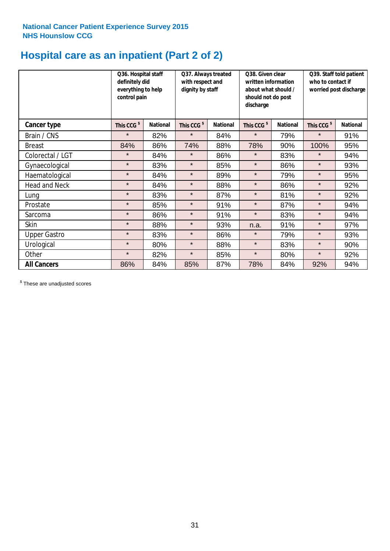# **Hospital care as an inpatient (Part 2 of 2)**

|                      | Q36. Hospital staff<br>definitely did<br>everything to help<br>control pain |                 | Q37. Always treated<br>with respect and<br>dignity by staff |                 | Q38. Given clear<br>written information<br>about what should /<br>should not do post<br>discharge |                 | Q39. Staff told patient<br>who to contact if<br>worried post discharge |                 |
|----------------------|-----------------------------------------------------------------------------|-----------------|-------------------------------------------------------------|-----------------|---------------------------------------------------------------------------------------------------|-----------------|------------------------------------------------------------------------|-----------------|
| Cancer type          | This CCG <sup>\$</sup>                                                      | <b>National</b> | This CCG <sup>\$</sup>                                      | <b>National</b> | This CCG <sup>\$</sup>                                                                            | <b>National</b> | This CCG <sup>\$</sup>                                                 | <b>National</b> |
| Brain / CNS          | $\star$                                                                     | 82%             | $\star$                                                     | 84%             | $\star$                                                                                           | 79%             | $\star$                                                                | 91%             |
| <b>Breast</b>        | 84%                                                                         | 86%             | 74%                                                         | 88%             | 78%                                                                                               | 90%             | 100%                                                                   | 95%             |
| Colorectal / LGT     | $\star$                                                                     | 84%             | $\star$                                                     | 86%             | $\star$                                                                                           | 83%             | $\star$                                                                | 94%             |
| Gynaecological       | $\star$                                                                     | 83%             | $\star$                                                     | 85%             | $\star$                                                                                           | 86%             | $\star$                                                                | 93%             |
| Haematological       | $\star$                                                                     | 84%             | $\star$                                                     | 89%             | $\star$                                                                                           | 79%             | $\star$                                                                | 95%             |
| <b>Head and Neck</b> | $\star$                                                                     | 84%             | $\star$                                                     | 88%             | $\star$                                                                                           | 86%             | $\star$                                                                | 92%             |
| Lung                 | $\star$                                                                     | 83%             | $\star$                                                     | 87%             | $\star$                                                                                           | 81%             | $\star$                                                                | 92%             |
| Prostate             | $\star$                                                                     | 85%             | $\star$                                                     | 91%             | $\star$                                                                                           | 87%             | $\star$                                                                | 94%             |
| Sarcoma              | $\star$                                                                     | 86%             | $\star$                                                     | 91%             | $\star$                                                                                           | 83%             | $\star$                                                                | 94%             |
| Skin                 | $\star$                                                                     | 88%             | $\star$                                                     | 93%             | n.a.                                                                                              | 91%             | $\star$                                                                | 97%             |
| <b>Upper Gastro</b>  | $\star$                                                                     | 83%             | $\star$                                                     | 86%             | $\star$                                                                                           | 79%             | $\star$                                                                | 93%             |
| Urological           | $\star$                                                                     | 80%             | $\star$                                                     | 88%             | $\star$                                                                                           | 83%             | $\star$                                                                | 90%             |
| Other                | $\star$                                                                     | 82%             | $\star$                                                     | 85%             | $\star$                                                                                           | 80%             | $\star$                                                                | 92%             |
| <b>All Cancers</b>   | 86%                                                                         | 84%             | 85%                                                         | 87%             | 78%                                                                                               | 84%             | 92%                                                                    | 94%             |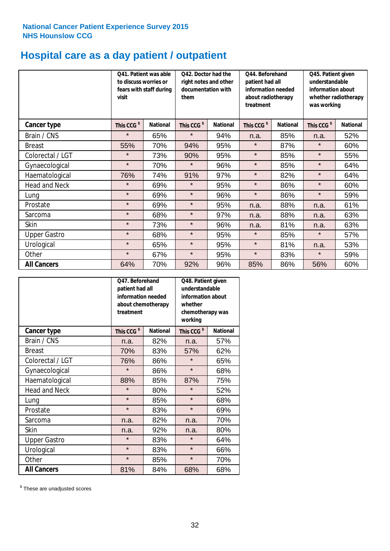# **Hospital care as a day patient / outpatient**

|                      | to discuss worries or<br>visit | Q41. Patient was able<br>fears with staff during | Q42. Doctor had the<br>right notes and other<br>documentation with<br>them |                 | Q44. Beforehand<br>patient had all<br>information needed<br>about radiotherapy<br>treatment |                 | Q45. Patient given<br>understandable<br>information about<br>whether radiotherapy<br>was working |                 |
|----------------------|--------------------------------|--------------------------------------------------|----------------------------------------------------------------------------|-----------------|---------------------------------------------------------------------------------------------|-----------------|--------------------------------------------------------------------------------------------------|-----------------|
| <b>Cancer type</b>   | This CCG <sup>\$</sup>         | <b>National</b>                                  | This CCG <sup>\$</sup>                                                     | <b>National</b> | This CCG <sup>\$</sup>                                                                      | <b>National</b> | This CCG <sup>\$</sup>                                                                           | <b>National</b> |
| Brain / CNS          | $\star$                        | 65%                                              | $\star$                                                                    | 94%             | n.a.                                                                                        | 85%             | n.a.                                                                                             | 52%             |
| <b>Breast</b>        | 55%                            | 70%                                              | 94%                                                                        | 95%             | $\star$                                                                                     | 87%             | $\star$                                                                                          | 60%             |
| Colorectal / LGT     | $\star$                        | 73%                                              | 90%                                                                        | 95%             | $\star$                                                                                     | 85%             | $\star$                                                                                          | 55%             |
| Gynaecological       | $\star$                        | 70%                                              | $\star$                                                                    | 96%             | $\star$                                                                                     | 85%             | $\star$                                                                                          | 64%             |
| Haematological       | 76%                            | 74%                                              | 91%                                                                        | 97%             | $\star$                                                                                     | 82%             | $\star$                                                                                          | 64%             |
| <b>Head and Neck</b> | $\star$                        | 69%                                              | $\star$                                                                    | 95%             | $\star$                                                                                     | 86%             | $\star$                                                                                          | 60%             |
| Lung                 | $\star$                        | 69%                                              | $\star$                                                                    | 96%             | $\star$                                                                                     | 86%             | $\star$                                                                                          | 59%             |
| Prostate             | $\star$                        | 69%                                              | $\star$                                                                    | 95%             | n.a.                                                                                        | 88%             | n.a.                                                                                             | 61%             |
| Sarcoma              | $\star$                        | 68%                                              | $\star$                                                                    | 97%             | n.a.                                                                                        | 88%             | n.a.                                                                                             | 63%             |
| Skin                 | $\star$                        | 73%                                              | $\star$                                                                    | 96%             | n.a.                                                                                        | 81%             | n.a.                                                                                             | 63%             |
| <b>Upper Gastro</b>  | $\star$                        | 68%                                              | $\star$                                                                    | 95%             | $\star$                                                                                     | 85%             | $\star$                                                                                          | 57%             |
| Urological           | $\star$                        | 65%                                              | $\star$                                                                    | 95%             | $\star$                                                                                     | 81%             | n.a.                                                                                             | 53%             |
| Other                | $\star$                        | 67%                                              | $\star$                                                                    | 95%             | $\star$                                                                                     | 83%             | $\star$                                                                                          | 59%             |
| <b>All Cancers</b>   | 64%                            | 70%                                              | 92%                                                                        | 96%             | 85%                                                                                         | 86%             | 56%                                                                                              | 60%             |

|                      | Q47. Beforehand<br>patient had all<br>information needed<br>about chemotherapy<br>treatment |                 | whether<br>working     | Q48. Patient given<br>understandable<br>information about<br>chemotherapy was |  |  |
|----------------------|---------------------------------------------------------------------------------------------|-----------------|------------------------|-------------------------------------------------------------------------------|--|--|
| <b>Cancer type</b>   | This CCG <sup>\$</sup>                                                                      | <b>National</b> | This CCG <sup>\$</sup> | <b>National</b>                                                               |  |  |
| Brain / CNS          | n.a.                                                                                        | 82%             | n.a.                   | 57%                                                                           |  |  |
| <b>Breast</b>        | 70%                                                                                         | 83%             | 57%                    | 62%                                                                           |  |  |
| Colorectal / LGT     | 76%                                                                                         | 86%             | $\star$                | 65%                                                                           |  |  |
| Gynaecological       | $\star$                                                                                     | 86%             | $\star$                | 68%                                                                           |  |  |
| Haematological       | 88%                                                                                         | 85%             | 87%                    | 75%                                                                           |  |  |
| <b>Head and Neck</b> | $\star$                                                                                     | 80%             | $\star$                | 52%                                                                           |  |  |
| Lung                 | $\star$                                                                                     | 85%             | $\star$                | 68%                                                                           |  |  |
| Prostate             | $\star$                                                                                     | 83%             | $\star$                | 69%                                                                           |  |  |
| Sarcoma              | n.a.                                                                                        | 82%             | n.a.                   | 70%                                                                           |  |  |
| Skin                 | n.a.                                                                                        | 92%             | n.a.                   | 80%                                                                           |  |  |
| <b>Upper Gastro</b>  | $\star$                                                                                     | 83%             | $\star$                | 64%                                                                           |  |  |
| Urological           | $\star$                                                                                     | 83%             | $\star$                | 66%                                                                           |  |  |
| Other                | $\star$                                                                                     | 85%             | $\star$                | 70%                                                                           |  |  |
| <b>All Cancers</b>   | 81%                                                                                         | 84%             | 68%                    | 68%                                                                           |  |  |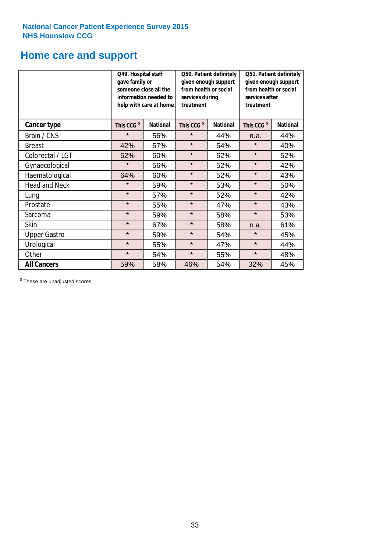# **Home care and support**

|                      | Q49. Hospital staff<br>gave family or | someone close all the<br>information needed to<br>help with care at home | Q50. Patient definitely<br>given enough support<br>from health or social<br>services during<br>treatment |                 | Q51. Patient definitely<br>given enough support<br>from health or social<br>services after<br>treatment |                 |
|----------------------|---------------------------------------|--------------------------------------------------------------------------|----------------------------------------------------------------------------------------------------------|-----------------|---------------------------------------------------------------------------------------------------------|-----------------|
| <b>Cancer type</b>   | This CCG <sup>\$</sup>                | <b>National</b>                                                          | This CCG <sup>\$</sup>                                                                                   | <b>National</b> | This CCG <sup>\$</sup>                                                                                  | <b>National</b> |
| Brain / CNS          | $\star$                               | 56%                                                                      | $\star$                                                                                                  | 44%             | n.a.                                                                                                    | 44%             |
| <b>Breast</b>        | 42%                                   | 57%                                                                      | $\star$                                                                                                  | 54%             | $\star$                                                                                                 | 40%             |
| Colorectal / LGT     | 62%                                   | 60%                                                                      | $\star$                                                                                                  | 62%             | $\star$                                                                                                 | 52%             |
| Gynaecological       | $\star$                               | 56%                                                                      | $\star$                                                                                                  | 52%             | $\star$                                                                                                 | 42%             |
| Haematological       | 64%                                   | 60%                                                                      | $\star$                                                                                                  | 52%             | $\star$                                                                                                 | 43%             |
| <b>Head and Neck</b> | $\star$                               | 59%                                                                      | $\star$                                                                                                  | 53%             | $\star$                                                                                                 | 50%             |
| Lung                 | $\star$                               | 57%                                                                      | $\star$                                                                                                  | 52%             | $\star$                                                                                                 | 42%             |
| Prostate             | $\star$                               | 55%                                                                      | $\star$                                                                                                  | 47%             | $\star$                                                                                                 | 43%             |
| Sarcoma              | $\star$                               | 59%                                                                      | $\star$                                                                                                  | 58%             | $\star$                                                                                                 | 53%             |
| Skin                 | $\star$                               | 67%                                                                      | $\star$                                                                                                  | 58%             | n.a.                                                                                                    | 61%             |
| <b>Upper Gastro</b>  | $\star$                               | 59%                                                                      | $\star$                                                                                                  | 54%             | $\star$                                                                                                 | 45%             |
| Urological           | $\star$                               | 55%                                                                      | $\star$                                                                                                  | 47%             | $\star$                                                                                                 | 44%             |
| Other                | $\star$                               | 54%                                                                      | $\star$                                                                                                  | 55%             | $\star$                                                                                                 | 48%             |
| <b>All Cancers</b>   | 59%                                   | 58%                                                                      | 46%                                                                                                      | 54%             | 32%                                                                                                     | 45%             |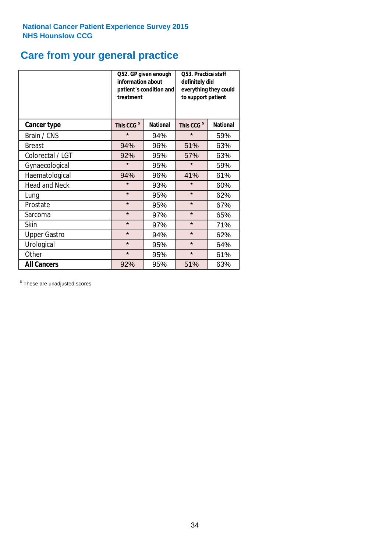# **Care from your general practice**

|                      | information about<br>treatment | Q52. GP given enough<br>patient's condition and | O53. Practice staff<br>definitely did<br>everything they could<br>to support patient |                 |  |
|----------------------|--------------------------------|-------------------------------------------------|--------------------------------------------------------------------------------------|-----------------|--|
| <b>Cancer type</b>   | This CCG <sup>\$</sup>         | <b>National</b>                                 | This CCG <sup>\$</sup>                                                               | <b>National</b> |  |
| Brain / CNS          | $\star$                        | 94%                                             | $\star$                                                                              | 59%             |  |
| <b>Breast</b>        | 94%                            | 96%                                             | 51%                                                                                  | 63%             |  |
| Colorectal / LGT     | 92%                            | 95%                                             | 57%                                                                                  | 63%             |  |
| Gynaecological       | $\star$                        | 95%                                             | $\star$                                                                              | 59%             |  |
| Haematological       | 94%                            | 96%                                             | 41%                                                                                  | 61%             |  |
| <b>Head and Neck</b> | $\star$                        | 93%                                             | $\star$                                                                              | 60%             |  |
| Lung                 | $\star$                        | 95%                                             | $\star$                                                                              | 62%             |  |
| Prostate             | $\star$                        | 95%                                             | $\star$                                                                              | 67%             |  |
| Sarcoma              | $\star$                        | 97%                                             | $\star$                                                                              | 65%             |  |
| Skin                 | $\star$                        | 97%                                             | $\star$                                                                              | 71%             |  |
| <b>Upper Gastro</b>  | $\star$                        | 94%                                             | $\star$                                                                              | 62%             |  |
| Urological           | $\star$                        | 95%                                             | $\star$                                                                              | 64%             |  |
| Other                | $\star$                        | 95%                                             | $\star$                                                                              | 61%             |  |
| <b>All Cancers</b>   | 92%                            | 95%                                             | 51%                                                                                  | 63%             |  |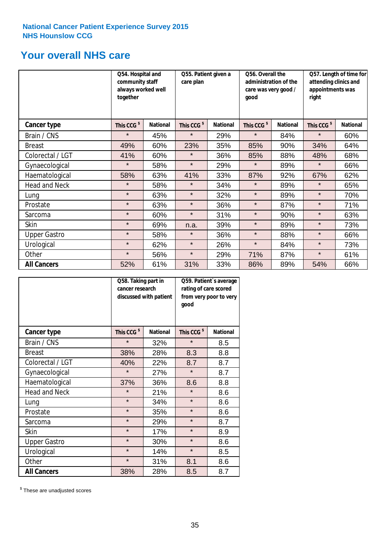# **Your overall NHS care**

|                      | Q54. Hospital and<br>community staff<br>always worked well<br>together |                 | Q55. Patient given a<br>care plan |                 | Q56. Overall the<br>administration of the<br>care was very good /<br>qood |                 | Q57. Length of time for<br>attending clinics and<br>appointments was<br>right |                 |
|----------------------|------------------------------------------------------------------------|-----------------|-----------------------------------|-----------------|---------------------------------------------------------------------------|-----------------|-------------------------------------------------------------------------------|-----------------|
| <b>Cancer type</b>   | This CCG <sup>\$</sup>                                                 | <b>National</b> | This CCG <sup>\$</sup>            | <b>National</b> | This CCG <sup>\$</sup>                                                    | <b>National</b> | This CCG <sup>\$</sup>                                                        | <b>National</b> |
| Brain / CNS          | $\star$                                                                | 45%             | $\star$                           | 29%             | $\star$                                                                   | 84%             | $\star$                                                                       | 60%             |
| <b>Breast</b>        | 49%                                                                    | 60%             | 23%                               | 35%             | 85%                                                                       | 90%             | 34%                                                                           | 64%             |
| Colorectal / LGT     | 41%                                                                    | 60%             | $\star$                           | 36%             | 85%                                                                       | 88%             | 48%                                                                           | 68%             |
| Gynaecological       | $\star$                                                                | 58%             | $\star$                           | 29%             | $\star$                                                                   | 89%             | $\star$                                                                       | 66%             |
| Haematological       | 58%                                                                    | 63%             | 41%                               | 33%             | 87%                                                                       | 92%             | 67%                                                                           | 62%             |
| <b>Head and Neck</b> | $\star$                                                                | 58%             | $\star$                           | 34%             | $\star$                                                                   | 89%             | $\star$                                                                       | 65%             |
| Lung                 | $\star$                                                                | 63%             | $\star$                           | 32%             | $\star$                                                                   | 89%             | $\star$                                                                       | 70%             |
| Prostate             | $\star$                                                                | 63%             | $\star$                           | 36%             | $\star$                                                                   | 87%             | $\star$                                                                       | 71%             |
| Sarcoma              | $\star$                                                                | 60%             | $\star$                           | 31%             | $\star$                                                                   | 90%             | $\star$                                                                       | 63%             |
| Skin                 | $\star$                                                                | 69%             | n.a.                              | 39%             | $\star$                                                                   | 89%             | $\star$                                                                       | 73%             |
| <b>Upper Gastro</b>  | $\star$                                                                | 58%             | $\star$                           | 36%             | $\star$                                                                   | 88%             | $\star$                                                                       | 66%             |
| Urological           | $\star$                                                                | 62%             | $\star$                           | 26%             | $\star$                                                                   | 84%             | $\star$                                                                       | 73%             |
| Other                | $\star$                                                                | 56%             | $\star$                           | 29%             | 71%                                                                       | 87%             | $\star$                                                                       | 61%             |
| <b>All Cancers</b>   | 52%                                                                    | 61%             | 31%                               | 33%             | 86%                                                                       | 89%             | 54%                                                                           | 66%             |

|                      | Q58. Taking part in<br>cancer research | discussed with patient | Q59. Patient's average<br>rating of care scored<br>from very poor to very<br>good |                 |  |
|----------------------|----------------------------------------|------------------------|-----------------------------------------------------------------------------------|-----------------|--|
| <b>Cancer type</b>   | This CCG <sup>\$</sup>                 | <b>National</b>        | This CCG <sup>\$</sup>                                                            | <b>National</b> |  |
| Brain / CNS          | $\star$                                | 32%                    | $\star$                                                                           | 8.5             |  |
| <b>Breast</b>        | 38%                                    | 28%                    | 8.3                                                                               | 8.8             |  |
| Colorectal / LGT     | 40%                                    | 22%                    | 8.7                                                                               | 8.7             |  |
| Gynaecological       | $\star$                                | 27%                    | $\star$                                                                           | 8.7             |  |
| Haematological       | 37%                                    | 36%                    | 8.6                                                                               | 8.8             |  |
| <b>Head and Neck</b> | $\star$                                | 21%                    | $\star$                                                                           | 8.6             |  |
| Lung                 | $\star$                                | 34%                    | $\star$                                                                           | 8.6             |  |
| Prostate             | $\star$                                | 35%                    | $\star$                                                                           | 8.6             |  |
| Sarcoma              | $\star$                                | 29%                    | $\star$                                                                           | 8.7             |  |
| Skin                 | $\star$                                | 17%                    | $\star$                                                                           | 8.9             |  |
| <b>Upper Gastro</b>  | $\star$                                | 30%                    | $\star$                                                                           | 8.6             |  |
| Urological           | $\star$                                | 14%                    | $\star$                                                                           | 8.5             |  |
| Other                | $\star$                                | 31%                    | 8.1                                                                               | 8.6             |  |
| <b>All Cancers</b>   | 38%                                    | 28%                    | 8.5                                                                               | 8.7             |  |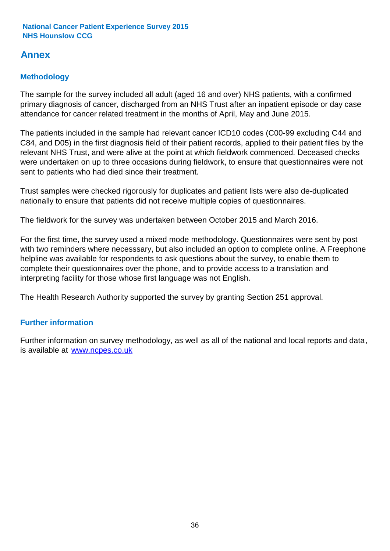# **Annex**

# **Methodology**

The sample for the survey included all adult (aged 16 and over) NHS patients, with a confirmed primary diagnosis of cancer, discharged from an NHS Trust after an inpatient episode or day case attendance for cancer related treatment in the months of April, May and June 2015.

The patients included in the sample had relevant cancer ICD10 codes (C00-99 excluding C44 and C84, and D05) in the first diagnosis field of their patient records, applied to their patient files by the relevant NHS Trust, and were alive at the point at which fieldwork commenced. Deceased checks were undertaken on up to three occasions during fieldwork, to ensure that questionnaires were not sent to patients who had died since their treatment.

Trust samples were checked rigorously for duplicates and patient lists were also de-duplicated nationally to ensure that patients did not receive multiple copies of questionnaires.

The fieldwork for the survey was undertaken between October 2015 and March 2016.

For the first time, the survey used a mixed mode methodology. Questionnaires were sent by post with two reminders where necesssary, but also included an option to complete online. A Freephone helpline was available for respondents to ask questions about the survey, to enable them to complete their questionnaires over the phone, and to provide access to a translation and interpreting facility for those whose first language was not English.

The Health Research Authority supported the survey by granting Section 251 approval.

# **Further information**

Further information on survey methodology, as well as all of the national and local reports and data, is available at www.ncpes.co.uk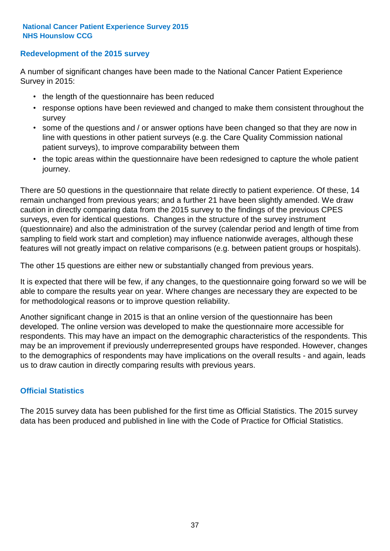### **Redevelopment of the 2015 survey**

A number of significant changes have been made to the National Cancer Patient Experience Survey in 2015:

- the length of the questionnaire has been reduced
- response options have been reviewed and changed to make them consistent throughout the survey
- some of the questions and / or answer options have been changed so that they are now in line with questions in other patient surveys (e.g. the Care Quality Commission national patient surveys), to improve comparability between them
- the topic areas within the questionnaire have been redesigned to capture the whole patient journey.

There are 50 questions in the questionnaire that relate directly to patient experience. Of these, 14 remain unchanged from previous years; and a further 21 have been slightly amended. We draw caution in directly comparing data from the 2015 survey to the findings of the previous CPES surveys, even for identical questions. Changes in the structure of the survey instrument (questionnaire) and also the administration of the survey (calendar period and length of time from sampling to field work start and completion) may influence nationwide averages, although these features will not greatly impact on relative comparisons (e.g. between patient groups or hospitals).

The other 15 questions are either new or substantially changed from previous years.

It is expected that there will be few, if any changes, to the questionnaire going forward so we will be able to compare the results year on year. Where changes are necessary they are expected to be for methodological reasons or to improve question reliability.

Another significant change in 2015 is that an online version of the questionnaire has been developed. The online version was developed to make the questionnaire more accessible for respondents. This may have an impact on the demographic characteristics of the respondents. This may be an improvement if previously underrepresented groups have responded. However, changes to the demographics of respondents may have implications on the overall results - and again, leads us to draw caution in directly comparing results with previous years.

### **Official Statistics**

The 2015 survey data has been published for the first time as Official Statistics. The 2015 survey data has been produced and published in line with the Code of Practice for Official Statistics.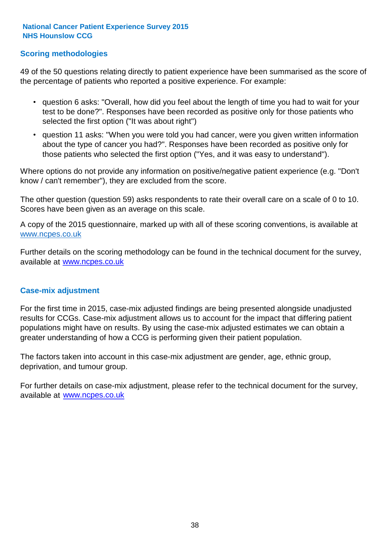### **Scoring methodologies**

49 of the 50 questions relating directly to patient experience have been summarised as the score of the percentage of patients who reported a positive experience. For example:

- question 6 asks: "Overall, how did you feel about the length of time you had to wait for your test to be done?". Responses have been recorded as positive only for those patients who selected the first option ("It was about right")
- question 11 asks: "When you were told you had cancer, were you given written information about the type of cancer you had?". Responses have been recorded as positive only for those patients who selected the first option ("Yes, and it was easy to understand").

Where options do not provide any information on positive/negative patient experience (e.g. "Don't know / can't remember"), they are excluded from the score.

The other question (question 59) asks respondents to rate their overall care on a scale of 0 to 10. Scores have been given as an average on this scale.

A copy of the 2015 questionnaire, marked up with all of these scoring conventions, is available at www.ncpes.co.uk

Further details on the scoring methodology can be found in the technical document for the survey, available at <u>www.ncpes.co.uk</u>

#### **Case-mix adjustment**

For the first time in 2015, case-mix adjusted findings are being presented alongside unadjusted results for CCGs. Case-mix adjustment allows us to account for the impact that differing patient populations might have on results. By using the case-mix adjusted estimates we can obtain a greater understanding of how a CCG is performing given their patient population.

The factors taken into account in this case-mix adjustment are gender, age, ethnic group, deprivation, and tumour group.

For further details on case-mix adjustment, please refer to the technical document for the survey, available at www.ncpes.co.uk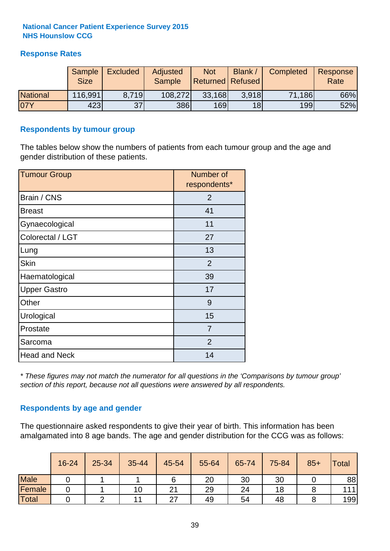### **Response Rates**

|                 | Sample      | <b>Excluded</b> | Adjusted      | <b>Not</b>              | Blank /         | Completed | Response |
|-----------------|-------------|-----------------|---------------|-------------------------|-----------------|-----------|----------|
|                 | <b>Size</b> |                 | <b>Sample</b> | <b>Returned Refused</b> |                 |           | Rate     |
| <b>National</b> | 116,991     | 8.719           | 108,272       | 33,168                  | 3.918           | 71,186    | 66%      |
| 07Y             | 423         | 37              | <b>386</b>    | 169                     | 18 <sup>l</sup> | 199       | 52%      |

#### **Respondents by tumour group**

The tables below show the numbers of patients from each tumour group and the age and gender distribution of these patients.

| <b>Tumour Group</b>  | Number of<br>respondents* |
|----------------------|---------------------------|
| Brain / CNS          | 2                         |
| <b>Breast</b>        | 41                        |
| Gynaecological       | 11                        |
| Colorectal / LGT     | 27                        |
| Lung                 | 13                        |
| <b>Skin</b>          | 2                         |
| Haematological       | 39                        |
| <b>Upper Gastro</b>  | 17                        |
| Other                | 9                         |
| Urological           | 15                        |
| Prostate             | 7                         |
| Sarcoma              | $\overline{2}$            |
| <b>Head and Neck</b> | 14                        |

*\* These figures may not match the numerator for all questions in the 'Comparisons by tumour group' section of this report, because not all questions were answered by all respondents.*

### **Respondents by age and gender**

The questionnaire asked respondents to give their year of birth. This information has been amalgamated into 8 age bands. The age and gender distribution for the CCG was as follows:

|             | 16-24 | 25-34 | 35-44 | 45-54 | 55-64 | 65-74 | 75-84 | $85+$ | Total |
|-------------|-------|-------|-------|-------|-------|-------|-------|-------|-------|
| <b>Male</b> |       |       |       | O     | 20    | 30    | 30    |       | 88    |
| Female      |       |       | 10    | 21    | 29    | 24    | 18    |       | 111   |
| Total       |       |       | 11    | 27    | 49    | 54    | 48    |       | 199   |